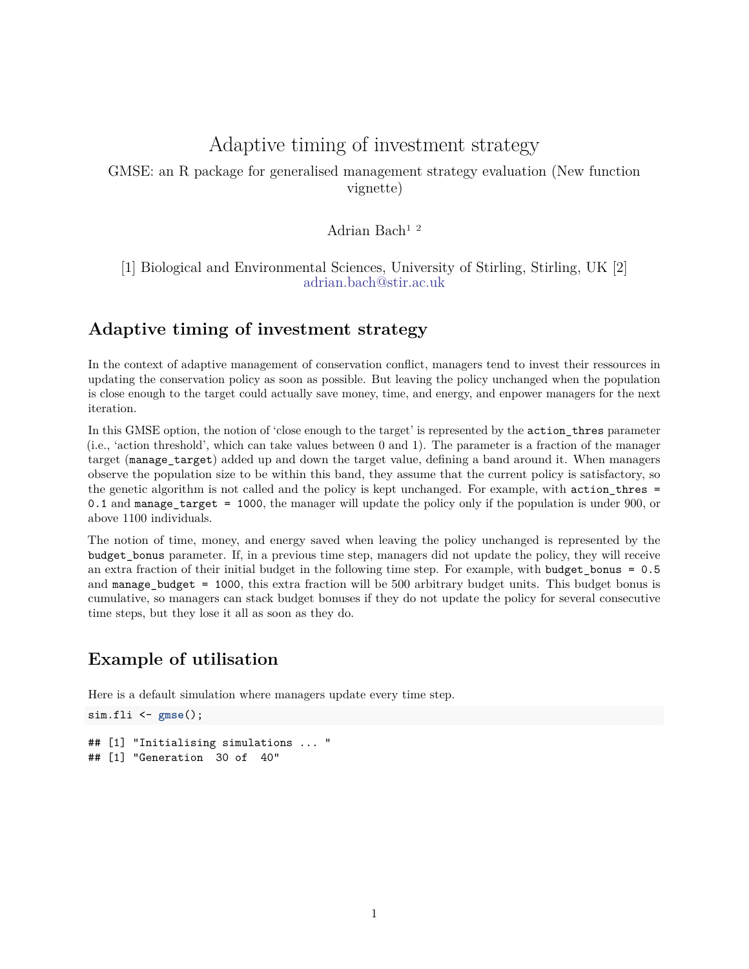# Adaptive timing of investment strategy

GMSE: an R package for generalised management strategy evaluation (New function vignette)

### Adrian Bach1 2

#### [1] Biological and Environmental Sciences, University of Stirling, Stirling, UK [2] [adrian.bach@stir.ac.uk](mailto:adrian.bach@stir.ac.uk)

## **Adaptive timing of investment strategy**

In the context of adaptive management of conservation conflict, managers tend to invest their ressources in updating the conservation policy as soon as possible. But leaving the policy unchanged when the population is close enough to the target could actually save money, time, and energy, and enpower managers for the next iteration.

In this GMSE option, the notion of 'close enough to the target' is represented by the action\_thres parameter (i.e., 'action threshold', which can take values between 0 and 1). The parameter is a fraction of the manager target (manage target) added up and down the target value, defining a band around it. When managers observe the population size to be within this band, they assume that the current policy is satisfactory, so the genetic algorithm is not called and the policy is kept unchanged. For example, with action\_thres = 0.1 and manage\_target = 1000, the manager will update the policy only if the population is under 900, or above 1100 individuals.

The notion of time, money, and energy saved when leaving the policy unchanged is represented by the budget\_bonus parameter. If, in a previous time step, managers did not update the policy, they will receive an extra fraction of their initial budget in the following time step. For example, with budget\_bonus = 0.5 and manage budget = 1000, this extra fraction will be  $500$  arbitrary budget units. This budget bonus is cumulative, so managers can stack budget bonuses if they do not update the policy for several consecutive time steps, but they lose it all as soon as they do.

## **Example of utilisation**

Here is a default simulation where managers update every time step.

```
sim.fli <- gmse();
## [1] "Initialising simulations ... "
## [1] "Generation 30 of 40"
```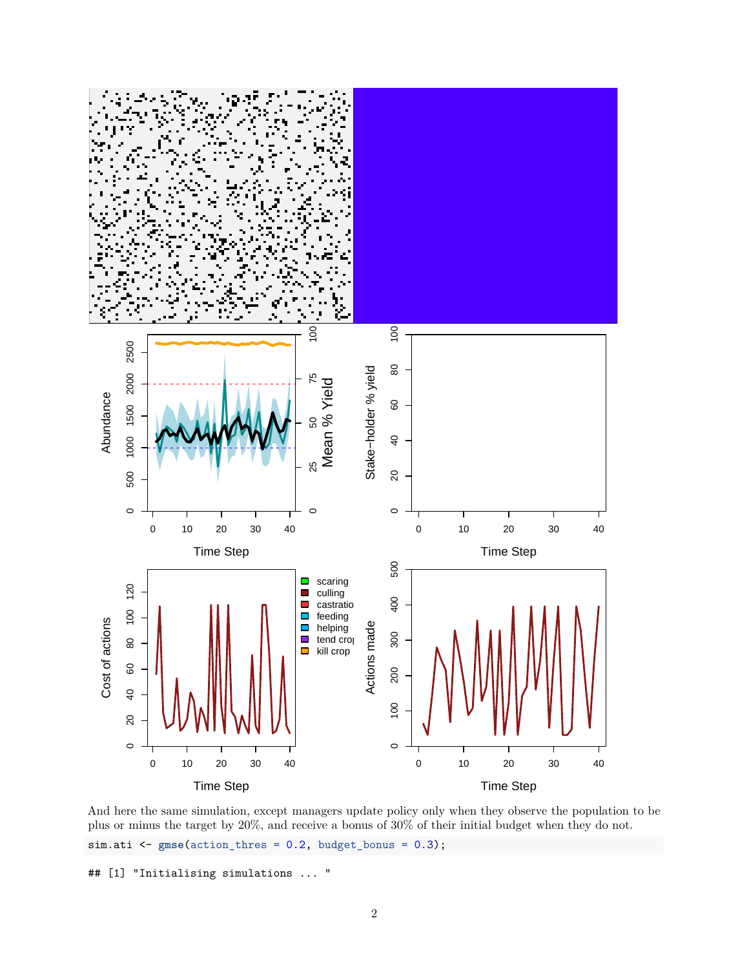

And here the same simulation, except managers update policy only when they observe the population to be plus or minus the target by 20%, and receive a bonus of 30% of their initial budget when they do not. sim.ati <- **gmse**(action\_thres = 0.2, budget\_bonus = 0.3);

## [1] "Initialising simulations ... "